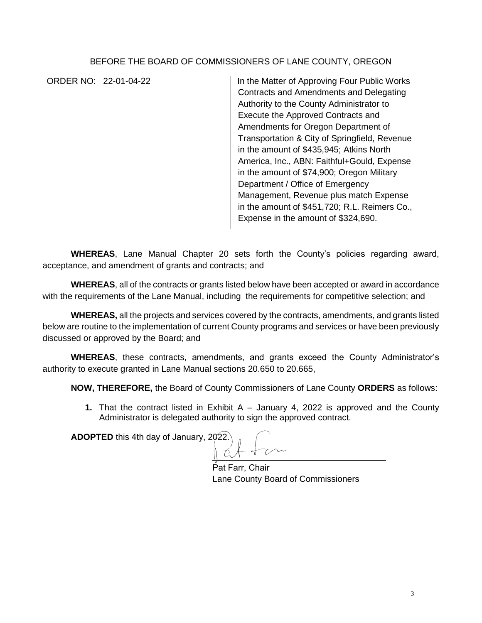## BEFORE THE BOARD OF COMMISSIONERS OF LANE COUNTY, OREGON

ORDER NO: 22-01-04-22 In the Matter of Approving Four Public Works Contracts and Amendments and Delegating Authority to the County Administrator to Execute the Approved Contracts and Amendments for Oregon Department of Transportation & City of Springfield, Revenue in the amount of \$435,945; Atkins North America, Inc., ABN: Faithful+Gould, Expense in the amount of \$74,900; Oregon Military Department / Office of Emergency Management, Revenue plus match Expense in the amount of \$451,720; R.L. Reimers Co., Expense in the amount of \$324,690.

**WHEREAS**, Lane Manual Chapter 20 sets forth the County's policies regarding award, acceptance, and amendment of grants and contracts; and

**WHEREAS**, all of the contracts or grants listed below have been accepted or award in accordance with the requirements of the Lane Manual, including the requirements for competitive selection; and

**WHEREAS,** all the projects and services covered by the contracts, amendments, and grants listed below are routine to the implementation of current County programs and services or have been previously discussed or approved by the Board; and

**WHEREAS**, these contracts, amendments, and grants exceed the County Administrator's authority to execute granted in Lane Manual sections 20.650 to 20.665,

**NOW, THEREFORE,** the Board of County Commissioners of Lane County **ORDERS** as follows:

**1.** That the contract listed in Exhibit A – January 4, 2022 is approved and the County Administrator is delegated authority to sign the approved contract.

**ADOPTED** this 4th day of January, 2022.

 $\frac{1}{2}$ 

Pat Farr, Chair Lane County Board of Commissioners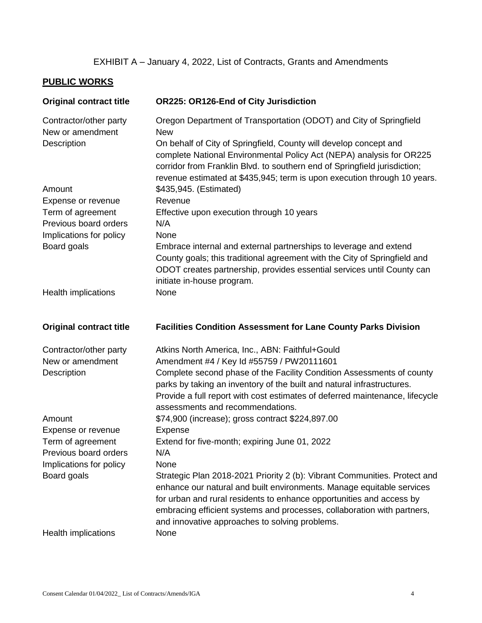## EXHIBIT A – January 4, 2022, List of Contracts, Grants and Amendments

## **PUBLIC WORKS**

| <b>Original contract title</b>             | OR225: OR126-End of City Jurisdiction                                                                                                                                                                                                                                                                                                                   |
|--------------------------------------------|---------------------------------------------------------------------------------------------------------------------------------------------------------------------------------------------------------------------------------------------------------------------------------------------------------------------------------------------------------|
| Contractor/other party<br>New or amendment | Oregon Department of Transportation (ODOT) and City of Springfield<br><b>New</b>                                                                                                                                                                                                                                                                        |
| Description                                | On behalf of City of Springfield, County will develop concept and<br>complete National Environmental Policy Act (NEPA) analysis for OR225<br>corridor from Franklin Blvd. to southern end of Springfield jurisdiction;<br>revenue estimated at \$435,945; term is upon execution through 10 years.                                                      |
| Amount                                     | \$435,945. (Estimated)                                                                                                                                                                                                                                                                                                                                  |
| Expense or revenue                         | Revenue                                                                                                                                                                                                                                                                                                                                                 |
| Term of agreement<br>Previous board orders | Effective upon execution through 10 years<br>N/A                                                                                                                                                                                                                                                                                                        |
| Implications for policy                    | None                                                                                                                                                                                                                                                                                                                                                    |
| Board goals                                | Embrace internal and external partnerships to leverage and extend<br>County goals; this traditional agreement with the City of Springfield and<br>ODOT creates partnership, provides essential services until County can                                                                                                                                |
| <b>Health implications</b>                 | initiate in-house program.<br>None                                                                                                                                                                                                                                                                                                                      |
|                                            |                                                                                                                                                                                                                                                                                                                                                         |
| <b>Original contract title</b>             | <b>Facilities Condition Assessment for Lane County Parks Division</b>                                                                                                                                                                                                                                                                                   |
| Contractor/other party                     | Atkins North America, Inc., ABN: Faithful+Gould                                                                                                                                                                                                                                                                                                         |
| New or amendment                           | Amendment #4 / Key Id #55759 / PW20111601                                                                                                                                                                                                                                                                                                               |
| Description                                | Complete second phase of the Facility Condition Assessments of county<br>parks by taking an inventory of the built and natural infrastructures.<br>Provide a full report with cost estimates of deferred maintenance, lifecycle<br>assessments and recommendations.                                                                                     |
| Amount                                     | \$74,900 (increase); gross contract \$224,897.00                                                                                                                                                                                                                                                                                                        |
| Expense or revenue                         | Expense                                                                                                                                                                                                                                                                                                                                                 |
| Term of agreement                          | Extend for five-month; expiring June 01, 2022                                                                                                                                                                                                                                                                                                           |
| Previous board orders                      | N/A                                                                                                                                                                                                                                                                                                                                                     |
| Implications for policy                    | None                                                                                                                                                                                                                                                                                                                                                    |
| Board goals                                | Strategic Plan 2018-2021 Priority 2 (b): Vibrant Communities. Protect and<br>enhance our natural and built environments. Manage equitable services<br>for urban and rural residents to enhance opportunities and access by<br>embracing efficient systems and processes, collaboration with partners,<br>and innovative approaches to solving problems. |